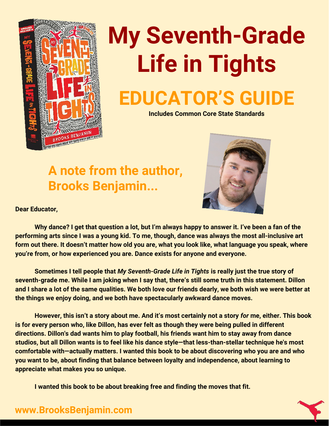

# **My Seventh-Grade Life in Tights EDUCATOR'S GUIDE**

**Includes Common Core State Standards**

#### **A note from the author, Brooks Benjamin...**



**Dear Educator,**

**Why dance? I get that question a lot, but I'm always happy to answer it. I've been a fan of the performing arts since I was a young kid. To me, though, dance was always the most all-inclusive art form out there. It doesn't matter how old you are, what you look like, what language you speak, where you're from, or how experienced you are. Dance exists for anyone and everyone.**

**Sometimes I tell people that** *My Seventh-Grade Life in Tights* **is really just the true story of seventh-grade me. While I am joking when I say that, there's still some truth in this statement. Dillon and I share a lot of the same qualities. We both love our friends dearly, we both wish we were better at the things we enjoy doing, and we both have spectacularly awkward dance moves.**

**However, this isn't a story about me. And it's most certainly not a story** *for* **me, either. This book is for every person who, like Dillon, has ever felt as though they were being pulled in different directions. Dillon's dad wants him to play football, his friends want him to stay away from dance studios, but all Dillon wants is to feel like his dance style—that less-than-stellar technique he's most comfortable with—actually matters. I wanted this book to be about discovering who you are and who you want to be, about finding that balance between loyalty and independence, about learning to appreciate what makes you so unique.**

**I wanted this book to be about breaking free and finding the moves that fit.**



#### **www.BrooksBenjamin.com**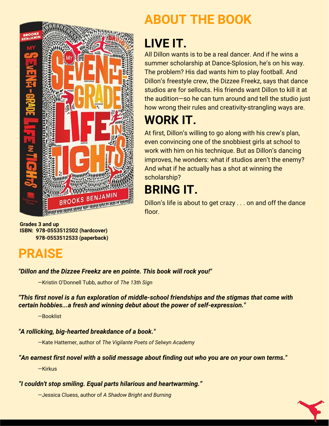

**Grades 3 and up ISBN: 978-0553512502 (hardcover) 978-0553512533 (paperback)**

#### **PRAISE**

#### *"Dillon and the Dizzee Freekz are en pointe. This book will rock you!"*

—Kristin O'Donnell Tubb, author of *The 13th Sign*

*"This first novel is a fun exploration of middle-school friendships and the stigmas that come with certain hobbies...a fresh and winning debut about the power of self-expression."*

—Booklist

#### *"A rollicking, big-hearted breakdance of a book."*

—Kate Hattemer, author of *The Vigilante Poets of Selwyn Academy*

#### *"An earnest first novel with a solid message about finding out who you are on your own terms."*

—Kirkus

*"I couldn't stop smiling. Equal parts hilarious and heartwarming."*

—Jessica Cluess, author of *A Shadow Bright and Burning*

### **ABOUT THE BOOK**

### **LIVE IT.**

All Dillon wants is to be a real dancer. And if he wins a summer scholarship at Dance-Splosion, he's on his way. The problem? His dad wants him to play football. And Dillon's freestyle crew, the Dizzee Freekz, says that dance studios are for sellouts. His friends want Dillon to kill it at the audition—so he can turn around and tell the studio just how wrong their rules and creativity-strangling ways are.

#### **WORK IT.**

At first, Dillon's willing to go along with his crew's plan, even convincing one of the snobbiest girls at school to work with him on his technique. But as Dillon's dancing improves, he wonders: what if studios aren't the enemy? And what if he actually has a shot at winning the scholarship?

### **BRING IT.**

Dillon's life is about to get crazy . . . on and off the dance floor.

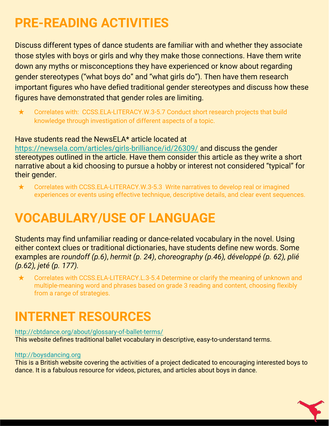### **PRE-READING ACTIVITIES**

Discuss different types of dance students are familiar with and whether they associate those styles with boys or girls and why they make those connections. Have them write down any myths or misconceptions they have experienced or know about regarding gender stereotypes ("what boys do" and "what girls do"). Then have them research important figures who have defied traditional gender stereotypes and discuss how these figures have demonstrated that gender roles are limiting.

★ Correlates with: [CCSS.ELA-LITERACY.W.3-5.7](http://www.corestandards.org/ELA-Literacy/W/4/7/) Conduct short research projects that build knowledge through investigation of different aspects of a topic.

#### Have students read the NewsELA\* article located at

<https://newsela.com/articles/girls-brilliance/id/26309/>and discuss the gender stereotypes outlined in the article. Have them consider this article as they write a short narrative about a kid choosing to pursue a hobby or interest not considered "typical" for their gender.

★ Correlates with [CCSS.ELA-LITERACY.W.3-5.3](http://www.corestandards.org/ELA-Literacy/W/4/3/) Write narratives to develop real or imagined experiences or events using effective technique, descriptive details, and clear event sequences.

### **VOCABULARY/USE OF LANGUAGE**

Students may find unfamiliar reading or dance-related vocabulary in the novel. Using either context clues or traditional dictionaries, have students define new words. Some examples are *roundoff (p.6)*, *hermit (p. 24)*, *choreography (p.46), développé (p. 62), plié (p.62), jeté (p. 177).*

★ Correlates with [CCSS.ELA-LITERACY.L.3-5.4](http://www.corestandards.org/ELA-Literacy/L/3/4/) Determine or clarify the meaning of unknown and multiple-meaning word and phrases based on grade 3 reading and content, choosing flexibly from a range of strategies.

## **INTERNET RESOURCES**

#### <http://cbtdance.org/about/glossary-of-ballet-terms/> This website defines traditional ballet vocabulary in descriptive, easy-to-understand terms.

#### <http://boysdancing.org>

This is a British website covering the activities of a project dedicated to encouraging interested boys to dance. It is a fabulous resource for videos, pictures, and articles about boys in dance.